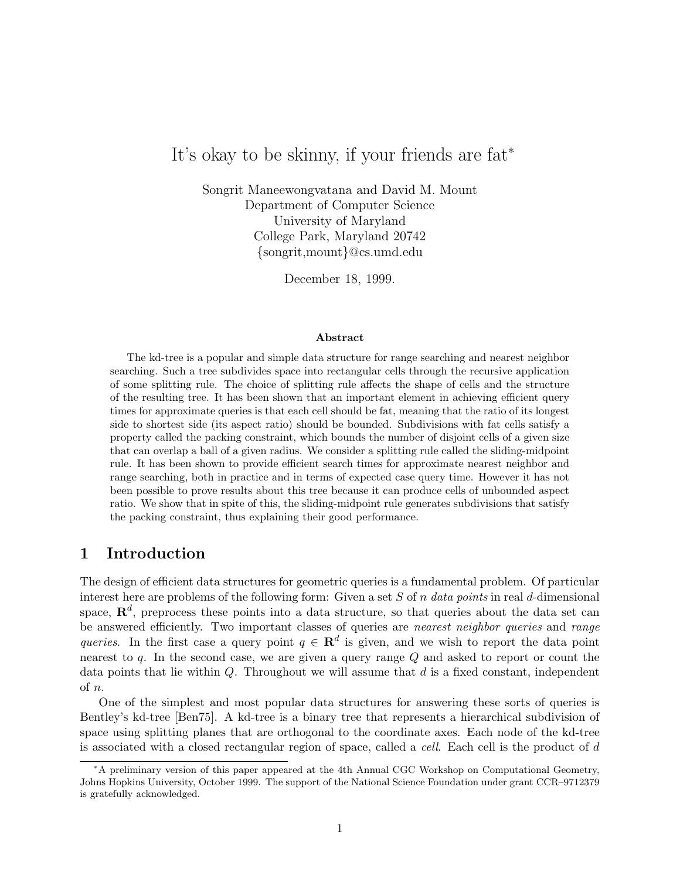# It's okay to be skinny, if your friends are fat<sup>∗</sup>

Songrit Maneewongvatana and David M. Mount Department of Computer Science University of Maryland College Park, Maryland 20742 {songrit,mount}@cs.umd.edu

December 18, 1999.

#### **Abstract**

The kd-tree is a popular and simple data structure for range searching and nearest neighbor searching. Such a tree subdivides space into rectangular cells through the recursive application of some splitting rule. The choice of splitting rule affects the shape of cells and the structure of the resulting tree. It has been shown that an important element in achieving efficient query times for approximate queries is that each cell should be fat, meaning that the ratio of its longest side to shortest side (its aspect ratio) should be bounded. Subdivisions with fat cells satisfy a property called the packing constraint, which bounds the number of disjoint cells of a given size that can overlap a ball of a given radius. We consider a splitting rule called the sliding-midpoint rule. It has been shown to provide efficient search times for approximate nearest neighbor and range searching, both in practice and in terms of expected case query time. However it has not been possible to prove results about this tree because it can produce cells of unbounded aspect ratio. We show that in spite of this, the sliding-midpoint rule generates subdivisions that satisfy the packing constraint, thus explaining their good performance.

#### **1 Introduction**

The design of efficient data structures for geometric queries is a fundamental problem. Of particular interest here are problems of the following form: Given a set S of n *data points* in real d-dimensional space,  $\mathbb{R}^d$ , preprocess these points into a data structure, so that queries about the data set can be answered efficiently. Two important classes of queries are *nearest neighbor queries* and *range queries*. In the first case a query point  $q \in \mathbb{R}^d$  is given, and we wish to report the data point nearest to  $q$ . In the second case, we are given a query range  $Q$  and asked to report or count the data points that lie within  $Q$ . Throughout we will assume that  $d$  is a fixed constant, independent of n.

One of the simplest and most popular data structures for answering these sorts of queries is Bentley's kd-tree [Ben75]. A kd-tree is a binary tree that represents a hierarchical subdivision of space using splitting planes that are orthogonal to the coordinate axes. Each node of the kd-tree is associated with a closed rectangular region of space, called a *cell*. Each cell is the product of d

<sup>∗</sup>A preliminary version of this paper appeared at the 4th Annual CGC Workshop on Computational Geometry, Johns Hopkins University, October 1999. The support of the National Science Foundation under grant CCR–9712379 is gratefully acknowledged.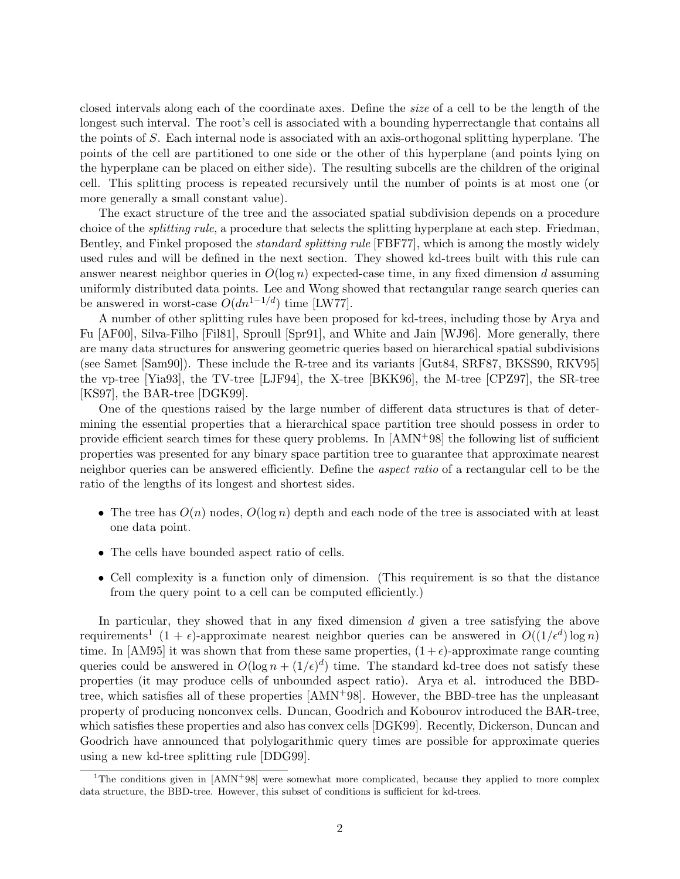closed intervals along each of the coordinate axes. Define the *size* of a cell to be the length of the longest such interval. The root's cell is associated with a bounding hyperrectangle that contains all the points of S. Each internal node is associated with an axis-orthogonal splitting hyperplane. The points of the cell are partitioned to one side or the other of this hyperplane (and points lying on the hyperplane can be placed on either side). The resulting subcells are the children of the original cell. This splitting process is repeated recursively until the number of points is at most one (or more generally a small constant value).

The exact structure of the tree and the associated spatial subdivision depends on a procedure choice of the *splitting rule*, a procedure that selects the splitting hyperplane at each step. Friedman, Bentley, and Finkel proposed the *standard splitting rule* [FBF77], which is among the mostly widely used rules and will be defined in the next section. They showed kd-trees built with this rule can answer nearest neighbor queries in  $O(\log n)$  expected-case time, in any fixed dimension d assuming uniformly distributed data points. Lee and Wong showed that rectangular range search queries can be answered in worst-case  $O(dn^{1-1/d})$  time [LW77].

A number of other splitting rules have been proposed for kd-trees, including those by Arya and Fu [AF00], Silva-Filho [Fil81], Sproull [Spr91], and White and Jain [WJ96]. More generally, there are many data structures for answering geometric queries based on hierarchical spatial subdivisions (see Samet [Sam90]). These include the R-tree and its variants [Gut84, SRF87, BKSS90, RKV95] the vp-tree [Yia93], the TV-tree [LJF94], the X-tree [BKK96], the M-tree [CPZ97], the SR-tree [KS97], the BAR-tree [DGK99].

One of the questions raised by the large number of different data structures is that of determining the essential properties that a hierarchical space partition tree should possess in order to provide efficient search times for these query problems. In [AMN+98] the following list of sufficient properties was presented for any binary space partition tree to guarantee that approximate nearest neighbor queries can be answered efficiently. Define the *aspect ratio* of a rectangular cell to be the ratio of the lengths of its longest and shortest sides.

- The tree has  $O(n)$  nodes,  $O(\log n)$  depth and each node of the tree is associated with at least one data point.
- The cells have bounded aspect ratio of cells.
- Cell complexity is a function only of dimension. (This requirement is so that the distance from the query point to a cell can be computed efficiently.)

In particular, they showed that in any fixed dimension d given a tree satisfying the above requirements<sup>1</sup>  $(1 + \epsilon)$ -approximate nearest neighbor queries can be answered in  $O((1/\epsilon^d) \log n)$ time. In [AM95] it was shown that from these same properties,  $(1+\epsilon)$ -approximate range counting queries could be answered in  $O(\log n + (1/\epsilon)^d)$  time. The standard kd-tree does not satisfy these properties (it may produce cells of unbounded aspect ratio). Arya et al. introduced the BBDtree, which satisfies all of these properties [AMN+98]. However, the BBD-tree has the unpleasant property of producing nonconvex cells. Duncan, Goodrich and Kobourov introduced the BAR-tree, which satisfies these properties and also has convex cells [DGK99]. Recently, Dickerson, Duncan and Goodrich have announced that polylogarithmic query times are possible for approximate queries using a new kd-tree splitting rule [DDG99].

<sup>&</sup>lt;sup>1</sup>The conditions given in  $[AMN<sup>+</sup>98]$  were somewhat more complicated, because they applied to more complex data structure, the BBD-tree. However, this subset of conditions is sufficient for kd-trees.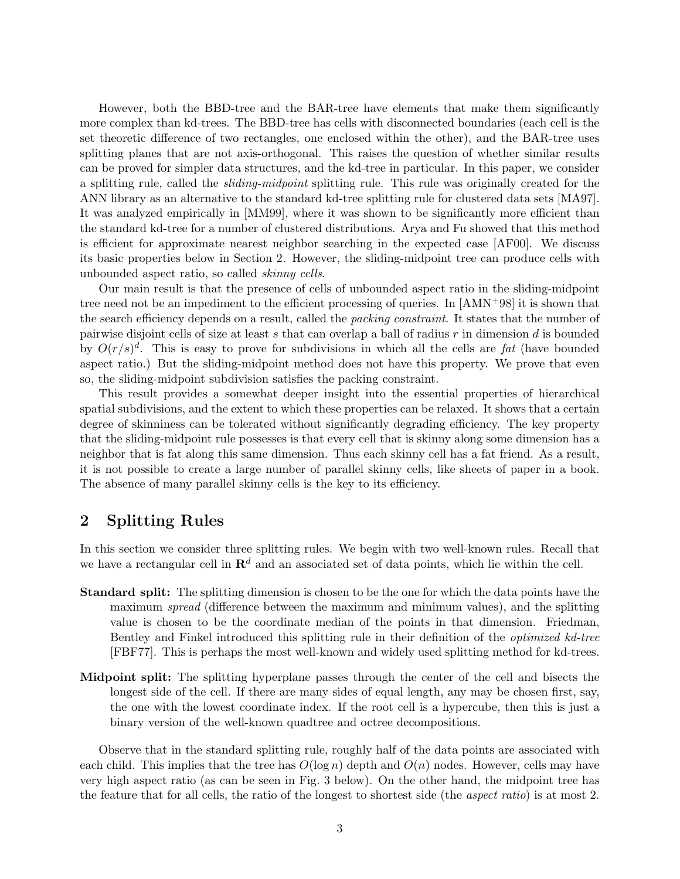However, both the BBD-tree and the BAR-tree have elements that make them significantly more complex than kd-trees. The BBD-tree has cells with disconnected boundaries (each cell is the set theoretic difference of two rectangles, one enclosed within the other), and the BAR-tree uses splitting planes that are not axis-orthogonal. This raises the question of whether similar results can be proved for simpler data structures, and the kd-tree in particular. In this paper, we consider a splitting rule, called the *sliding-midpoint* splitting rule. This rule was originally created for the ANN library as an alternative to the standard kd-tree splitting rule for clustered data sets [MA97]. It was analyzed empirically in [MM99], where it was shown to be significantly more efficient than the standard kd-tree for a number of clustered distributions. Arya and Fu showed that this method is efficient for approximate nearest neighbor searching in the expected case [AF00]. We discuss its basic properties below in Section 2. However, the sliding-midpoint tree can produce cells with unbounded aspect ratio, so called *skinny cells*.

Our main result is that the presence of cells of unbounded aspect ratio in the sliding-midpoint tree need not be an impediment to the efficient processing of queries. In  $[AMN+98]$  it is shown that the search efficiency depends on a result, called the *packing constraint*. It states that the number of pairwise disjoint cells of size at least s that can overlap a ball of radius  $r$  in dimension d is bounded by  $O(r/s)^d$ . This is easy to prove for subdivisions in which all the cells are *fat* (have bounded aspect ratio.) But the sliding-midpoint method does not have this property. We prove that even so, the sliding-midpoint subdivision satisfies the packing constraint.

This result provides a somewhat deeper insight into the essential properties of hierarchical spatial subdivisions, and the extent to which these properties can be relaxed. It shows that a certain degree of skinniness can be tolerated without significantly degrading efficiency. The key property that the sliding-midpoint rule possesses is that every cell that is skinny along some dimension has a neighbor that is fat along this same dimension. Thus each skinny cell has a fat friend. As a result, it is not possible to create a large number of parallel skinny cells, like sheets of paper in a book. The absence of many parallel skinny cells is the key to its efficiency.

## **2 Splitting Rules**

In this section we consider three splitting rules. We begin with two well-known rules. Recall that we have a rectangular cell in  $\mathbb{R}^d$  and an associated set of data points, which lie within the cell.

- **Standard split:** The splitting dimension is chosen to be the one for which the data points have the maximum *spread* (difference between the maximum and minimum values), and the splitting value is chosen to be the coordinate median of the points in that dimension. Friedman, Bentley and Finkel introduced this splitting rule in their definition of the *optimized kd-tree* [FBF77]. This is perhaps the most well-known and widely used splitting method for kd-trees.
- **Midpoint split:** The splitting hyperplane passes through the center of the cell and bisects the longest side of the cell. If there are many sides of equal length, any may be chosen first, say, the one with the lowest coordinate index. If the root cell is a hypercube, then this is just a binary version of the well-known quadtree and octree decompositions.

Observe that in the standard splitting rule, roughly half of the data points are associated with each child. This implies that the tree has  $O(\log n)$  depth and  $O(n)$  nodes. However, cells may have very high aspect ratio (as can be seen in Fig. 3 below). On the other hand, the midpoint tree has the feature that for all cells, the ratio of the longest to shortest side (the *aspect ratio*) is at most 2.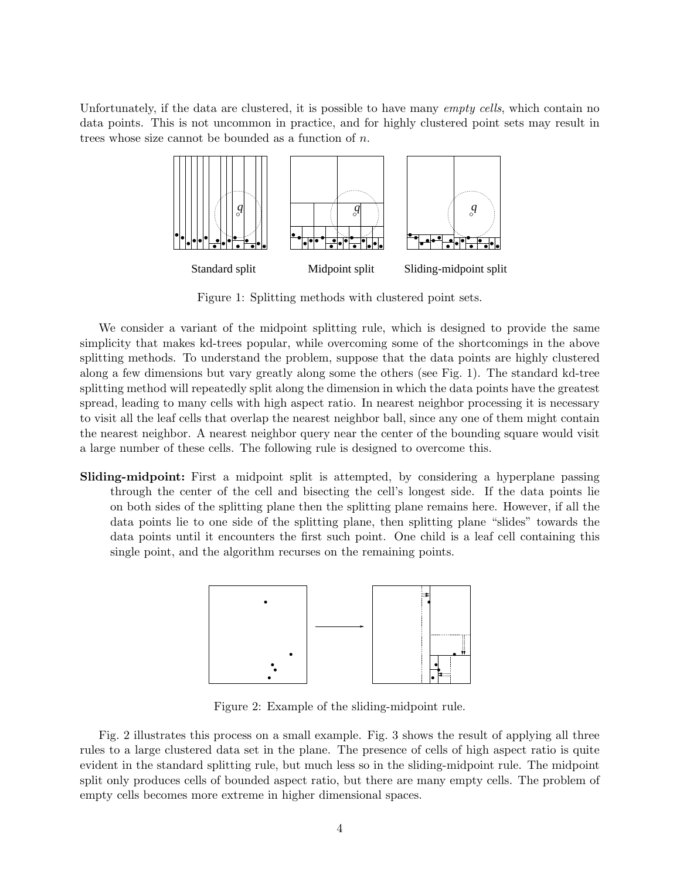Unfortunately, if the data are clustered, it is possible to have many *empty cells*, which contain no data points. This is not uncommon in practice, and for highly clustered point sets may result in trees whose size cannot be bounded as a function of n.



Figure 1: Splitting methods with clustered point sets.

We consider a variant of the midpoint splitting rule, which is designed to provide the same simplicity that makes kd-trees popular, while overcoming some of the shortcomings in the above splitting methods. To understand the problem, suppose that the data points are highly clustered along a few dimensions but vary greatly along some the others (see Fig. 1). The standard kd-tree splitting method will repeatedly split along the dimension in which the data points have the greatest spread, leading to many cells with high aspect ratio. In nearest neighbor processing it is necessary to visit all the leaf cells that overlap the nearest neighbor ball, since any one of them might contain the nearest neighbor. A nearest neighbor query near the center of the bounding square would visit a large number of these cells. The following rule is designed to overcome this.

**Sliding-midpoint:** First a midpoint split is attempted, by considering a hyperplane passing through the center of the cell and bisecting the cell's longest side. If the data points lie on both sides of the splitting plane then the splitting plane remains here. However, if all the data points lie to one side of the splitting plane, then splitting plane "slides" towards the data points until it encounters the first such point. One child is a leaf cell containing this single point, and the algorithm recurses on the remaining points.



Figure 2: Example of the sliding-midpoint rule.

Fig. 2 illustrates this process on a small example. Fig. 3 shows the result of applying all three rules to a large clustered data set in the plane. The presence of cells of high aspect ratio is quite evident in the standard splitting rule, but much less so in the sliding-midpoint rule. The midpoint split only produces cells of bounded aspect ratio, but there are many empty cells. The problem of empty cells becomes more extreme in higher dimensional spaces.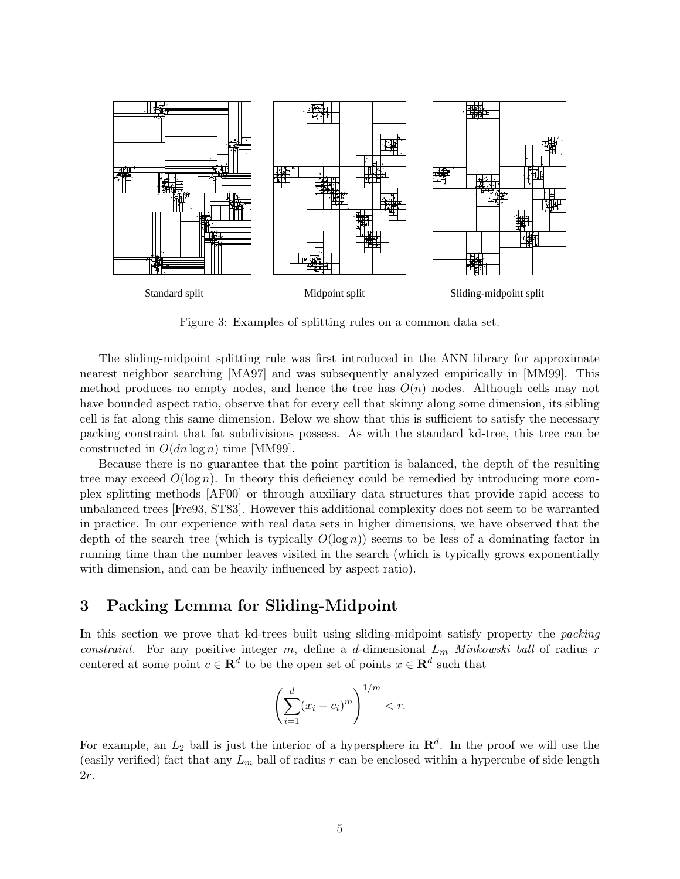

Figure 3: Examples of splitting rules on a common data set.

The sliding-midpoint splitting rule was first introduced in the ANN library for approximate nearest neighbor searching [MA97] and was subsequently analyzed empirically in [MM99]. This method produces no empty nodes, and hence the tree has  $O(n)$  nodes. Although cells may not have bounded aspect ratio, observe that for every cell that skinny along some dimension, its sibling cell is fat along this same dimension. Below we show that this is sufficient to satisfy the necessary packing constraint that fat subdivisions possess. As with the standard kd-tree, this tree can be constructed in  $O(dn \log n)$  time [MM99].

Because there is no guarantee that the point partition is balanced, the depth of the resulting tree may exceed  $O(\log n)$ . In theory this deficiency could be remedied by introducing more complex splitting methods [AF00] or through auxiliary data structures that provide rapid access to unbalanced trees [Fre93, ST83]. However this additional complexity does not seem to be warranted in practice. In our experience with real data sets in higher dimensions, we have observed that the depth of the search tree (which is typically  $O(\log n)$ ) seems to be less of a dominating factor in running time than the number leaves visited in the search (which is typically grows exponentially with dimension, and can be heavily influenced by aspect ratio).

#### **3 Packing Lemma for Sliding-Midpoint**

In this section we prove that kd-trees built using sliding-midpoint satisfy property the *packing constraint.* For any positive integer m, define a d-dimensional  $L_m$  *Minkowski ball* of radius r centered at some point  $c \in \mathbb{R}^d$  to be the open set of points  $x \in \mathbb{R}^d$  such that

$$
\left(\sum_{i=1}^d (x_i - c_i)^m\right)^{1/m} < r.
$$

For example, an  $L_2$  ball is just the interior of a hypersphere in  $\mathbb{R}^d$ . In the proof we will use the (easily verified) fact that any  $L_m$  ball of radius r can be enclosed within a hypercube of side length 2r.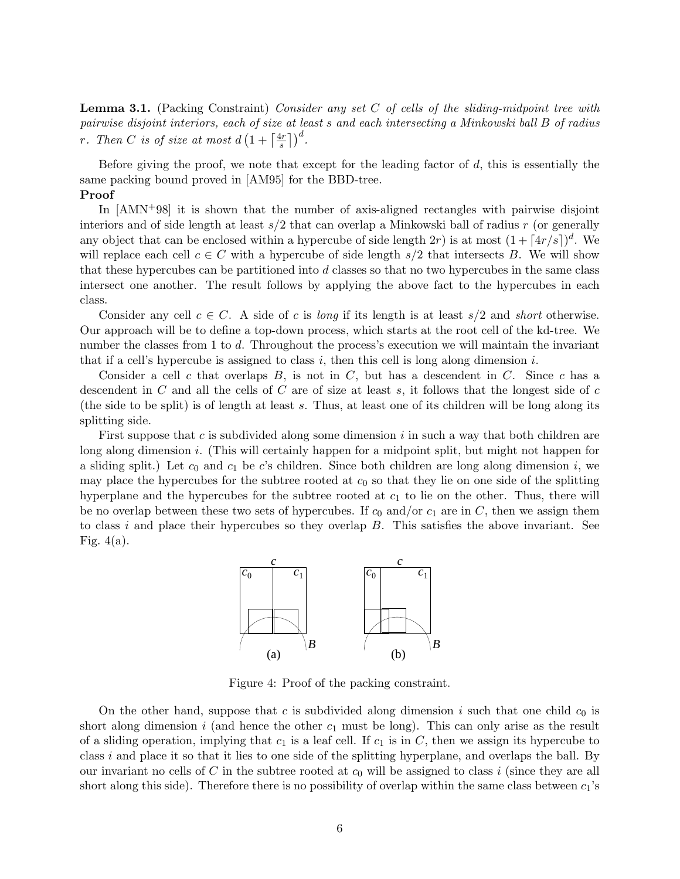**Lemma 3.1.** (Packing Constraint) *Consider any set* C *of cells of the sliding-midpoint tree with pairwise disjoint interiors, each of size at least* s *and each intersecting a Minkowski ball* B *of radius r*. Then C is of size at most  $d\left(1 + \left\lceil \frac{4r}{s} \right\rceil\right)^d$ .

Before giving the proof, we note that except for the leading factor of  $d$ , this is essentially the same packing bound proved in [AM95] for the BBD-tree.

#### **Proof**

In [AMN+98] it is shown that the number of axis-aligned rectangles with pairwise disjoint interiors and of side length at least  $s/2$  that can overlap a Minkowski ball of radius r (or generally any object that can be enclosed within a hypercube of side length  $2r$ ) is at most  $(1 + \lceil 4r/s \rceil)^d$ . We will replace each cell  $c \in C$  with a hypercube of side length  $s/2$  that intersects B. We will show that these hypercubes can be partitioned into d classes so that no two hypercubes in the same class intersect one another. The result follows by applying the above fact to the hypercubes in each class.

Consider any cell  $c \in C$ . A side of c is *long* if its length is at least  $s/2$  and *short* otherwise. Our approach will be to define a top-down process, which starts at the root cell of the kd-tree. We number the classes from 1 to d. Throughout the process's execution we will maintain the invariant that if a cell's hypercube is assigned to class  $i$ , then this cell is long along dimension  $i$ .

Consider a cell c that overlaps  $B$ , is not in  $C$ , but has a descendent in  $C$ . Since c has a descendent in  $C$  and all the cells of  $C$  are of size at least  $s$ , it follows that the longest side of  $c$ (the side to be split) is of length at least s. Thus, at least one of its children will be long along its splitting side.

First suppose that c is subdivided along some dimension i in such a way that both children are long along dimension i. (This will certainly happen for a midpoint split, but might not happen for a sliding split.) Let  $c_0$  and  $c_1$  be c's children. Since both children are long along dimension i, we may place the hypercubes for the subtree rooted at  $c_0$  so that they lie on one side of the splitting hyperplane and the hypercubes for the subtree rooted at  $c_1$  to lie on the other. Thus, there will be no overlap between these two sets of hypercubes. If  $c_0$  and/or  $c_1$  are in C, then we assign them to class i and place their hypercubes so they overlap  $B$ . This satisfies the above invariant. See Fig.  $4(a)$ .



Figure 4: Proof of the packing constraint.

On the other hand, suppose that  $c$  is subdivided along dimension  $i$  such that one child  $c_0$  is short along dimension i (and hence the other  $c_1$  must be long). This can only arise as the result of a sliding operation, implying that  $c_1$  is a leaf cell. If  $c_1$  is in C, then we assign its hypercube to class  $i$  and place it so that it lies to one side of the splitting hyperplane, and overlaps the ball. By our invariant no cells of C in the subtree rooted at  $c_0$  will be assigned to class i (since they are all short along this side). Therefore there is no possibility of overlap within the same class between  $c_1$ 's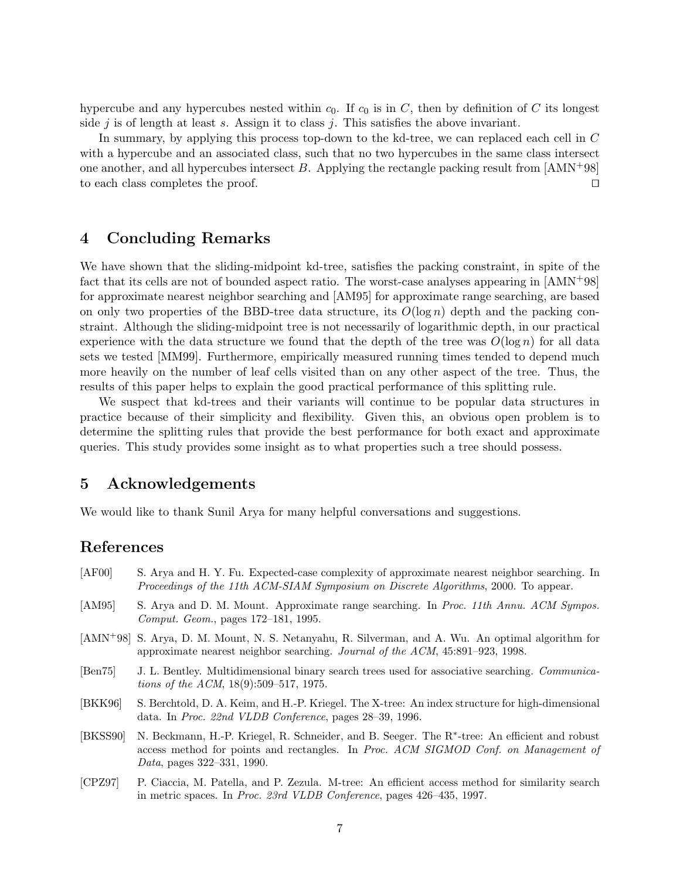hypercube and any hypercubes nested within  $c_0$ . If  $c_0$  is in C, then by definition of C its longest side j is of length at least s. Assign it to class j. This satisfies the above invariant.

In summary, by applying this process top-down to the kd-tree, we can replaced each cell in C with a hypercube and an associated class, such that no two hypercubes in the same class intersect one another, and all hypercubes intersect B. Applying the rectangle packing result from  $[AMN+98]$ to each class completes the proof.  $\Box$ 

# **4 Concluding Remarks**

We have shown that the sliding-midpoint kd-tree, satisfies the packing constraint, in spite of the fact that its cells are not of bounded aspect ratio. The worst-case analyses appearing in [AMN+98] for approximate nearest neighbor searching and [AM95] for approximate range searching, are based on only two properties of the BBD-tree data structure, its  $O(\log n)$  depth and the packing constraint. Although the sliding-midpoint tree is not necessarily of logarithmic depth, in our practical experience with the data structure we found that the depth of the tree was  $O(\log n)$  for all data sets we tested [MM99]. Furthermore, empirically measured running times tended to depend much more heavily on the number of leaf cells visited than on any other aspect of the tree. Thus, the results of this paper helps to explain the good practical performance of this splitting rule.

We suspect that kd-trees and their variants will continue to be popular data structures in practice because of their simplicity and flexibility. Given this, an obvious open problem is to determine the splitting rules that provide the best performance for both exact and approximate queries. This study provides some insight as to what properties such a tree should possess.

## **5 Acknowledgements**

We would like to thank Sunil Arya for many helpful conversations and suggestions.

### **References**

- [AF00] S. Arya and H. Y. Fu. Expected-case complexity of approximate nearest neighbor searching. In *Proceedings of the 11th ACM-SIAM Symposium on Discrete Algorithms*, 2000. To appear.
- [AM95] S. Arya and D. M. Mount. Approximate range searching. In *Proc. 11th Annu. ACM Sympos. Comput. Geom.*, pages 172–181, 1995.
- [AMN<sup>+</sup>98] S. Arya, D. M. Mount, N. S. Netanyahu, R. Silverman, and A. Wu. An optimal algorithm for approximate nearest neighbor searching. *Journal of the ACM*, 45:891–923, 1998.
- [Ben75] J. L. Bentley. Multidimensional binary search trees used for associative searching. *Communications of the ACM*, 18(9):509–517, 1975.
- [BKK96] S. Berchtold, D. A. Keim, and H.-P. Kriegel. The X-tree: An index structure for high-dimensional data. In *Proc. 22nd VLDB Conference*, pages 28–39, 1996.
- [BKSS90] N. Beckmann, H.-P. Kriegel, R. Schneider, and B. Seeger. The R∗-tree: An efficient and robust access method for points and rectangles. In *Proc. ACM SIGMOD Conf. on Management of Data*, pages 322–331, 1990.
- [CPZ97] P. Ciaccia, M. Patella, and P. Zezula. M-tree: An efficient access method for similarity search in metric spaces. In *Proc. 23rd VLDB Conference*, pages 426–435, 1997.